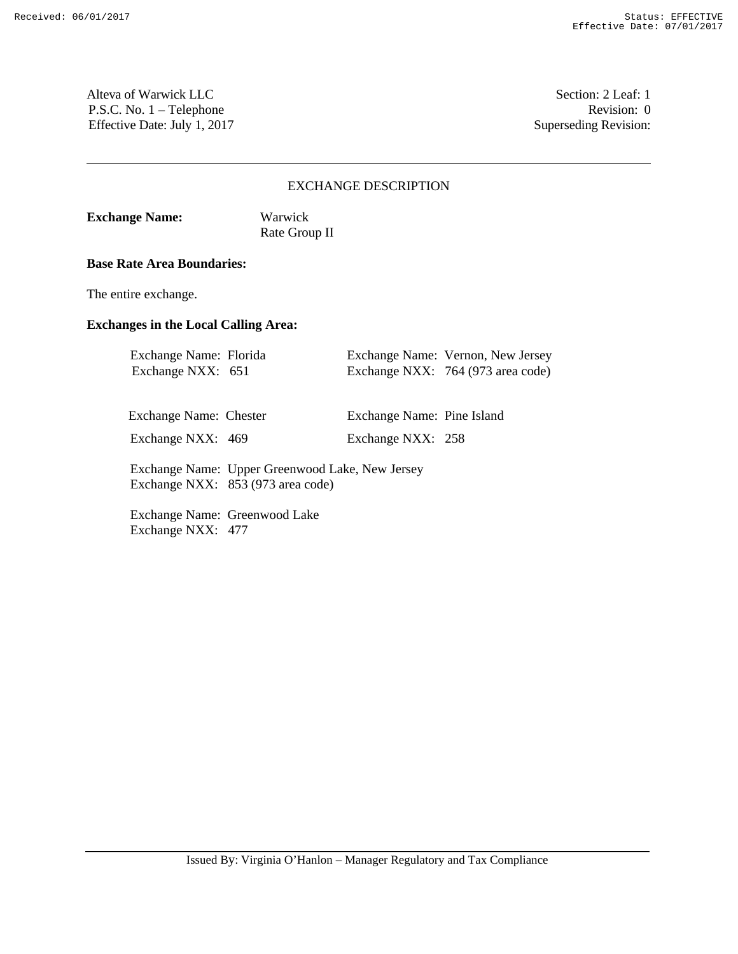Alteva of Warwick LLC Section: 2 Leaf: 1 P.S.C. No. 1 – Telephone Revision: 0 Effective Date: July 1, 2017 Superseding Revision:

## EXCHANGE DESCRIPTION

| <b>Exchange Name:</b> |  |
|-----------------------|--|
|-----------------------|--|

**Exchange Name:** Warwick Rate Group II

#### **Base Rate Area Boundaries:**

The entire exchange.

# **Exchanges in the Local Calling Area:**

| Exchange Name: Florida | Exchange Name: Vernon, New Jersey |
|------------------------|-----------------------------------|
| Exchange NXX: 651      | Exchange NXX: 764 (973 area code) |
| Exchange Name: Chester | Exchange Name: Pine Island        |

| Exchange Name: Chester | Exchange Name: Pine Island |  |
|------------------------|----------------------------|--|
| Exchange NXX: 469      | Exchange NXX: 258          |  |

Exchange Name: Upper Greenwood Lake, New Jersey Exchange NXX: 853 (973 area code)

Exchange Name: Greenwood Lake Exchange NXX: 477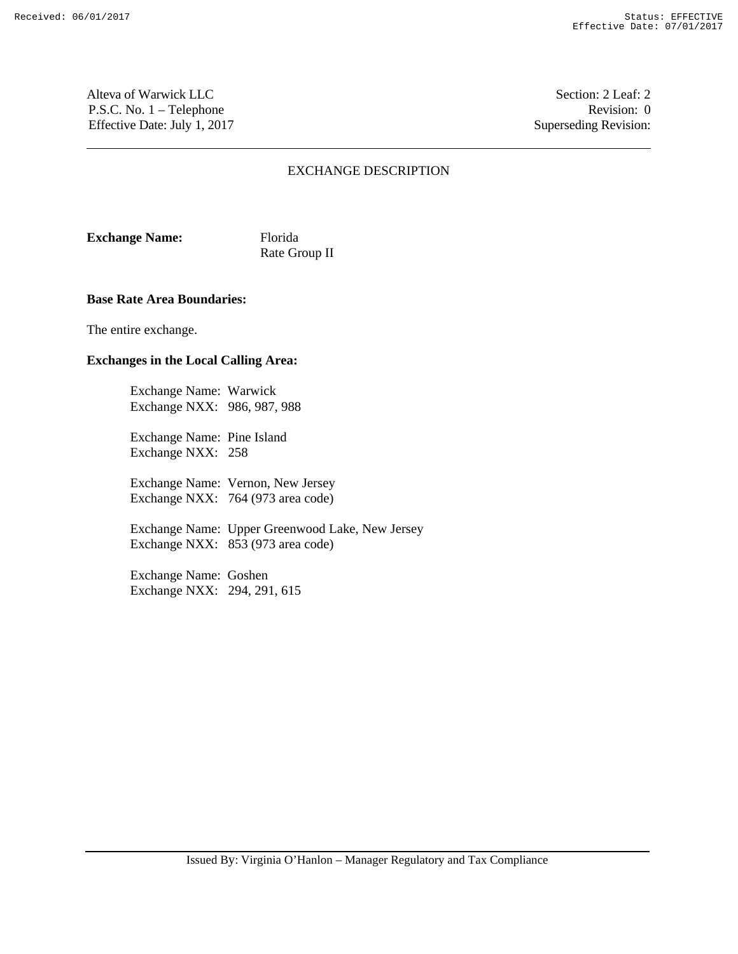Alteva of Warwick LLC Section: 2 Leaf: 2 P.S.C. No. 1 – Telephone Revision: 0 Effective Date: July 1, 2017 Superseding Revision:

### EXCHANGE DESCRIPTION

**Exchange Name:** Florida

Rate Group II

# **Base Rate Area Boundaries:**

The entire exchange.

# **Exchanges in the Local Calling Area:**

Exchange Name: Warwick Exchange NXX: 986, 987, 988

Exchange Name: Pine Island Exchange NXX: 258

Exchange Name: Vernon, New Jersey Exchange NXX: 764 (973 area code)

Exchange Name: Upper Greenwood Lake, New Jersey Exchange NXX: 853 (973 area code)

Exchange Name: Goshen Exchange NXX: 294, 291, 615